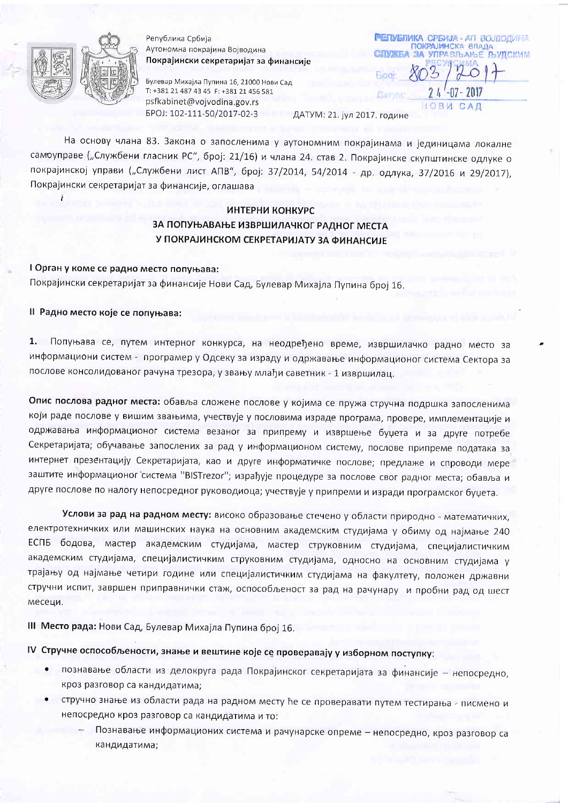

Република Србија Аутономна покрајина Војводина Покрајински секретаријат за финансије

Булевар Михајла Пупина 16, 21000 Нови Сад T: +381 21 487 43 45 F: +381 21 456 581 psfkabinet@vojvodina.gov.rs EPOJ: 102-111-50/2017-02-3

**РЕТІУБЛИКА СРБИЈА - АП ВОЈВОДИНА** ПОКРАЈИНСКА ВЛАДА ЗА УПРАВЛЬАНЫЕ ЛЬУДСКИМ Enn НОВИ САД

ДАТУМ: 21. јул 2017. године

На основу члана 83. Закона о запосленима у аутономним покрајинама и јединицама локалне самоуправе ("Службени гласник РС", број: 21/16) и члана 24. став 2. Покрајинске скупштинске одлуке о покрајинској управи ("Службени лист АПВ", број: 37/2014, 54/2014 - др. одлука, 37/2016 и 29/2017), Покрајински секретаријат за финансије, оглашава

# ИНТЕРНИ КОНКУРС

ЗА ПОПУЊАВАЊЕ ИЗВРШИЛАЧКОГ РАДНОГ МЕСТА У ПОКРАЈИНСКОМ СЕКРЕТАРИЈАТУ ЗА ФИНАНСИЈЕ

I Орган у коме се радно место попуњава: Покрајински секретаријат за финансије Нови Сад, Булевар Михајла Пупина број 16.

### II Радно место које се попуњава:

Попуњава се, путем интерног конкурса, на неодређено време, извршилачко радно место за  $1.$ информациони систем - програмер у Одсеку за израду и одржавање информационог система Сектора за послове консолидованог рачуна трезора, у звању млађи саветник - 1 извршилац.

Опис послова радног места: обавља сложене послове у којима се пружа стручна подршка запосленима који раде послове у вишим звањима, учествује у пословима израде програма, провере, имплементације и одржавања информационог система везаног за припрему и извршење буџета и за друге потребе Секретаријата; обучавање запослених за рад у информационом систему, послове припреме података за интернет презентацију Секретаријата, као и друге информатичке послове; предлаже и спроводи мере заштите информационог система "BISTrezor"; израђује процедуре за послове свог радног места; обавља и друге послове по налогу непосредног руководиоца; учествује у припреми и изради програмског буџета.

Услови за рад на радном месту: високо образовање стечено у области природно - математичких, електротехничких или машинских наука на основним академским студијама у обиму од најмање 240 ЕСПБ бодова, мастер академским студијама, мастер струковним студијама, специјалистичким академским студијама, специјалистичким струковним студијама, односно на основним студијама у трајању од најмање четири године или специјалистичким студијама на факултету, положен државни стручни испит, завршен приправнички стаж, оспособљеност за рад на рачунару и пробни рад од шест месеци.

III Место рада: Нови Сад, Булевар Михајла Пупина број 16.

IV Стручне оспособљености, знање и вештине које се проверавају у изборном поступку:

- познавање области из делокруга рада Покрајинског секретаријата за финансије непосредно, кроз разговор са кандидатима;
- стручно знање из области рада на радном месту ће се проверавати путем тестирања писмено и непосредно кроз разговор са кандидатима и то:
	- Познавање информационих система и рачунарске опреме непосредно, кроз разговор са кандидатима;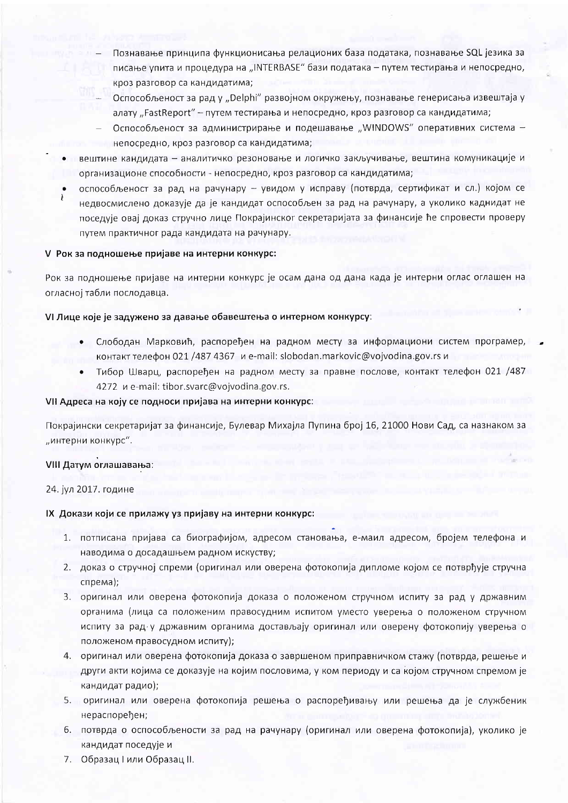- Познавање принципа функционисања релационих база података, познавање SQL језика за писање упита и процедура на "INTERBASE" бази података - путем тестирања и непосредно, кроз разговор са кандидатима;
- Оспособљеност за рад у "Delphi" развојном окружењу, познавање генерисања извештаја у алату "FastReport" - путем тестирања и непосредно, кроз разговор са кандидатима;
- Оспособљеност за администрирање и подешавање "WINDOWS" оперативних система непосредно, кроз разговор са кандидатима;
- вештине кандидата аналитичко резоновање и логичко закључивање, вештина комуникације и организационе способности - непосредно, кроз разговор са кандидатима;
- оспособљеност за рад на рачунару увидом у исправу (потврда, сертификат и сл.) којом се недвосмислено доказује да је кандидат оспособљен за рад на рачунару, а уколико каднидат не поседује овај доказ стручно лице Покрајинског секретаријата за финансије ће спровести проверу путем практичног рада кандидата на рачунару.

### V Рок за подношење пријаве на интерни конкурс:

Рок за подношење пријаве на интерни конкурс је осам дана од дана када је интерни оглас оглашен на огласној табли послодавца.

### VI Лице које је задужено за давање обавештења о интерном конкурсу:

- Слободан Марковић, распоређен на радном месту за информациони систем програмер, контакт телефон 021 /487 4367 и e-mail: slobodan.markovic@vojvodina.gov.rs и
- Тибор Шварц, распоређен на радном месту за правне послове, контакт телефон 021 /487  $\bullet$ 4272 и e-mail: tibor.svarc@vojvodina.gov.rs.

### VII Адреса на коју се подноси пријава на интерни конкурс:

Покрајински секретаријат за финансије, Булевар Михајла Пупина број 16, 21000 Нови Сад, са назнаком за "интерни конкурс".

## VIII Датум оглашавања:

24. јул 2017. године

#### IX Докази који се прилажу уз пријаву на интерни конкурс:

- 1. потписана пријава са биографијом, адресом становања, е-маил адресом, бројем телефона и наводима о досадашњем радном искуству;
- 2. доказ о стручној спреми (оригинал или оверена фотокопија дипломе којом се потврђује стручна cnpema);
- 3. оригинал или оверена фотокопија доказа о положеном стручном испиту за рад у државним органима (лица са положеним правосудним испитом уместо уверења о положеном стручном испиту за рад у државним органима достављају оригинал или оверену фотокопију уверења о положеном правосудном испиту);
- 4. оригинал или оверена фотокопија доказа о завршеном приправничком стажу (потврда, решење и други акти којима се доказује на којим пословима, у ком периоду и са којом стручном спремом је кандидат радио);
- 5. оригинал или оверена фотокопија решења о распоређивању или решења да је службеник нераспоређен;
- 6. потврда о оспособљености за рад на рачунару (оригинал или оверена фотокопија), уколико је кандидат поседује и
- 7. Образац I или Образац II.